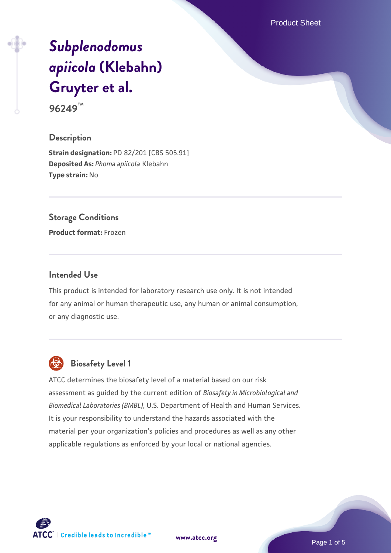Product Sheet

# *[Subplenodomus](https://www.atcc.org/products/96249) [apiicola](https://www.atcc.org/products/96249)* **[\(Klebahn\)](https://www.atcc.org/products/96249) [Gruyter et al.](https://www.atcc.org/products/96249)**

**96249™**

#### **Description**

**Strain designation:** PD 82/201 [CBS 505.91] **Deposited As:** *Phoma apiicola* Klebahn **Type strain:** No

#### **Storage Conditions**

**Product format:** Frozen

#### **Intended Use**

This product is intended for laboratory research use only. It is not intended for any animal or human therapeutic use, any human or animal consumption, or any diagnostic use.



## **Biosafety Level 1**

ATCC determines the biosafety level of a material based on our risk assessment as guided by the current edition of *Biosafety in Microbiological and Biomedical Laboratories (BMBL)*, U.S. Department of Health and Human Services. It is your responsibility to understand the hazards associated with the material per your organization's policies and procedures as well as any other applicable regulations as enforced by your local or national agencies.

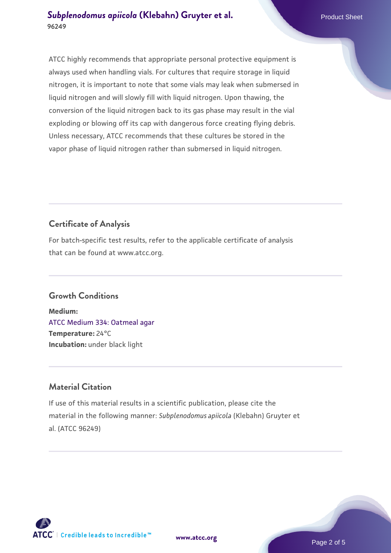ATCC highly recommends that appropriate personal protective equipment is always used when handling vials. For cultures that require storage in liquid nitrogen, it is important to note that some vials may leak when submersed in liquid nitrogen and will slowly fill with liquid nitrogen. Upon thawing, the conversion of the liquid nitrogen back to its gas phase may result in the vial exploding or blowing off its cap with dangerous force creating flying debris. Unless necessary, ATCC recommends that these cultures be stored in the vapor phase of liquid nitrogen rather than submersed in liquid nitrogen.

## **Certificate of Analysis**

For batch-specific test results, refer to the applicable certificate of analysis that can be found at www.atcc.org.

### **Growth Conditions**

**Medium:**  [ATCC Medium 334: Oatmeal agar](https://www.atcc.org/-/media/product-assets/documents/microbial-media-formulations/3/3/4/atcc-medium-334.pdf?rev=e382a75a48794764902dd7457c97fc29) **Temperature:** 24°C **Incubation:** under black light

## **Material Citation**

If use of this material results in a scientific publication, please cite the material in the following manner: *Subplenodomus apiicola* (Klebahn) Gruyter et al. (ATCC 96249)

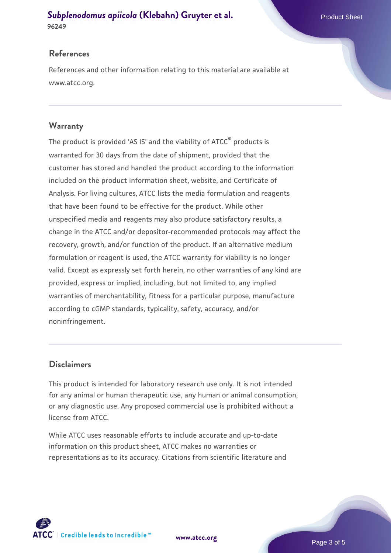#### **References**

References and other information relating to this material are available at www.atcc.org.

#### **Warranty**

The product is provided 'AS IS' and the viability of ATCC® products is warranted for 30 days from the date of shipment, provided that the customer has stored and handled the product according to the information included on the product information sheet, website, and Certificate of Analysis. For living cultures, ATCC lists the media formulation and reagents that have been found to be effective for the product. While other unspecified media and reagents may also produce satisfactory results, a change in the ATCC and/or depositor-recommended protocols may affect the recovery, growth, and/or function of the product. If an alternative medium formulation or reagent is used, the ATCC warranty for viability is no longer valid. Except as expressly set forth herein, no other warranties of any kind are provided, express or implied, including, but not limited to, any implied warranties of merchantability, fitness for a particular purpose, manufacture according to cGMP standards, typicality, safety, accuracy, and/or noninfringement.

#### **Disclaimers**

This product is intended for laboratory research use only. It is not intended for any animal or human therapeutic use, any human or animal consumption, or any diagnostic use. Any proposed commercial use is prohibited without a license from ATCC.

While ATCC uses reasonable efforts to include accurate and up-to-date information on this product sheet, ATCC makes no warranties or representations as to its accuracy. Citations from scientific literature and



**[www.atcc.org](http://www.atcc.org)**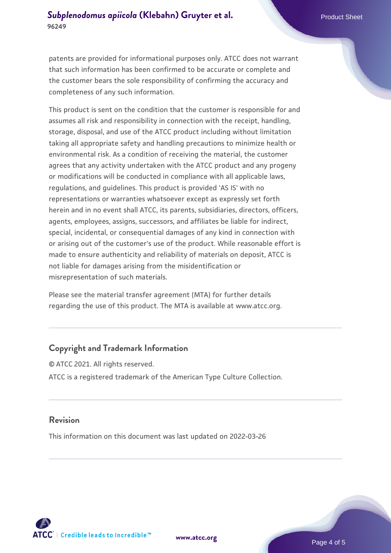patents are provided for informational purposes only. ATCC does not warrant that such information has been confirmed to be accurate or complete and the customer bears the sole responsibility of confirming the accuracy and completeness of any such information.

This product is sent on the condition that the customer is responsible for and assumes all risk and responsibility in connection with the receipt, handling, storage, disposal, and use of the ATCC product including without limitation taking all appropriate safety and handling precautions to minimize health or environmental risk. As a condition of receiving the material, the customer agrees that any activity undertaken with the ATCC product and any progeny or modifications will be conducted in compliance with all applicable laws, regulations, and guidelines. This product is provided 'AS IS' with no representations or warranties whatsoever except as expressly set forth herein and in no event shall ATCC, its parents, subsidiaries, directors, officers, agents, employees, assigns, successors, and affiliates be liable for indirect, special, incidental, or consequential damages of any kind in connection with or arising out of the customer's use of the product. While reasonable effort is made to ensure authenticity and reliability of materials on deposit, ATCC is not liable for damages arising from the misidentification or misrepresentation of such materials.

Please see the material transfer agreement (MTA) for further details regarding the use of this product. The MTA is available at www.atcc.org.

#### **Copyright and Trademark Information**

© ATCC 2021. All rights reserved. ATCC is a registered trademark of the American Type Culture Collection.

#### **Revision**

This information on this document was last updated on 2022-03-26



**[www.atcc.org](http://www.atcc.org)**

Page 4 of 5